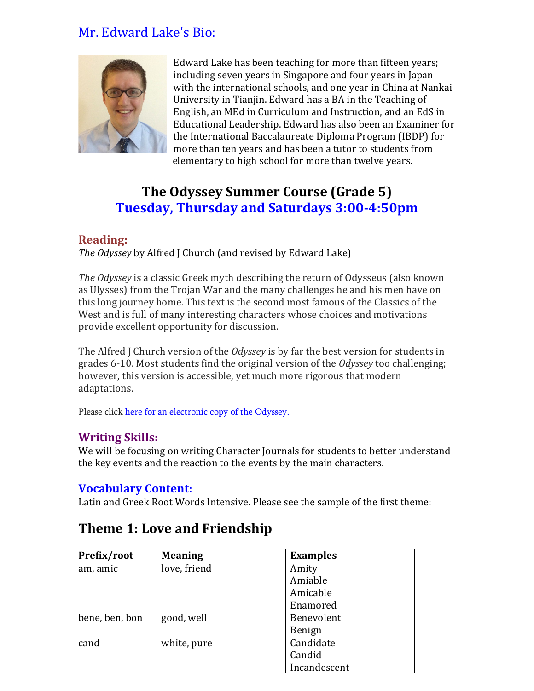## Mr. Edward Lake's Bio:



Edward Lake has been teaching for more than fifteen years; including seven years in Singapore and four years in Japan with the international schools, and one year in China at Nankai University in Tianjin. Edward has a BA in the Teaching of English, an MEd in Curriculum and Instruction, and an EdS in Educational Leadership. Edward has also been an Examiner for the International Baccalaureate Diploma Program (IBDP) for more than ten years and has been a tutor to students from elementary to high school for more than twelve years.

# **The Odyssey Summer Course (Grade 5) Tuesday, Thursday and Saturdays 3:00-4:50pm**

### **Reading:**

*The Odyssey* by Alfred J Church (and revised by Edward Lake)

*The Odyssey* is a classic Greek myth describing the return of Odysseus (also known as Ulysses) from the Trojan War and the many challenges he and his men have on this long journey home. This text is the second most famous of the Classics of the West and is full of many interesting characters whose choices and motivations provide excellent opportunity for discussion.

The Alfred J Church version of the *Odyssey* is by far the best version for students in grades 6-10. Most students find the original version of the *Odyssey* too challenging; however, this version is accessible, yet much more rigorous that modern adaptations.

Please click [here for an electronic copy of the Odyssey.](https://www.teacherspayteachers.com/Product/The-Odyssey-by-Alfred-J-Church-Ebook-and-Study-Guide-No-Answers-6864655#show-price-update)

### **Writing Skills:**

We will be focusing on writing Character Journals for students to better understand the key events and the reaction to the events by the main characters.

### **Vocabulary Content:**

Latin and Greek Root Words Intensive. Please see the sample of the first theme:

| Prefix/root    | <b>Meaning</b> | <b>Examples</b> |
|----------------|----------------|-----------------|
| am, amic       | love, friend   | Amity           |
|                |                | Amiable         |
|                |                | Amicable        |
|                |                | Enamored        |
| bene, ben, bon | good, well     | Benevolent      |
|                |                | Benign          |
| cand           | white, pure    | Candidate       |
|                |                | Candid          |
|                |                | Incandescent    |

## **Theme 1: Love and Friendship**